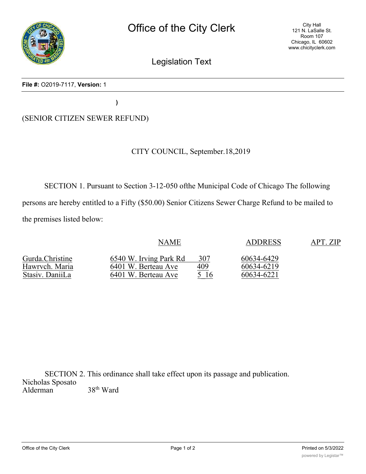

Legislation Text

#### **File #:** O2019-7117, **Version:** 1

**)**

# (SENIOR CITIZEN SEWER REFUND)

## CITY COUNCIL, September.18,2019

SECTION 1. Pursuant to Section 3-12-050 ofthe Municipal Code of Chicago The following persons are hereby entitled to a Fifty (\$50.00) Senior Citizens Sewer Charge Refund to be mailed to the premises listed below:

| Gurda.Christine | <b>NAME</b>            |            | <b>ADDRESS</b> | APT. ZIP |
|-----------------|------------------------|------------|----------------|----------|
|                 | 6540 W. Irving Park Rd | 307        | 60634-6429     |          |
| Hawrvch. Maria  | 6401 W. Berteau Ave    | <u>409</u> | 60634-6219     |          |
| Stasiv. DaniiLa | 6401 W. Berteau Ave    | 5 16       | 60634-6221     |          |

SECTION 2. This ordinance shall take effect upon its passage and publication. Nicholas Sposato<br>Alderman  $38^{\rm th}$  Ward